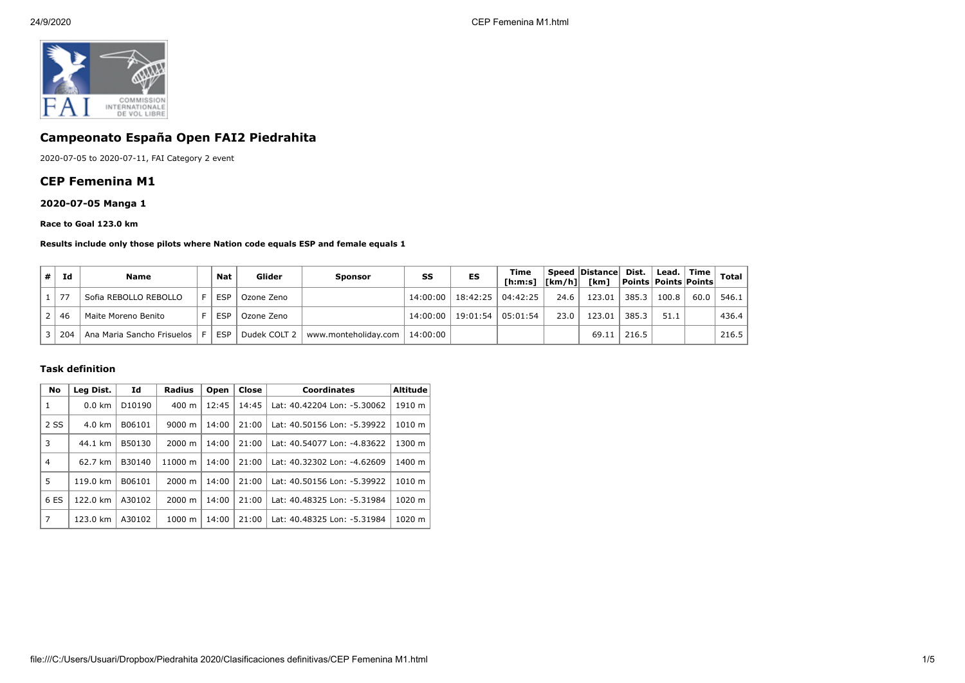

# **Campeonato España Open FAI2 Piedrahita**

2020-07-05 to 2020-07-11, FAI Category 2 event

## **CEP Femenina M1**

## **2020-07-05 Manga 1**

#### **Race to Goal 123.0 km**

#### **Results include only those pilots where Nation code equals ESP and female equals 1**

| #∣ | Id     | <b>Name</b>                | Nat        | Glider       | Sponsor              | SS       | ES                  | Time     |      | Speed Distance Dist.<br>[h:m:s]  [km/h]  [km]   Points   Points   Points |                 | Lead.   Time |      | Total $ $ |
|----|--------|----------------------------|------------|--------------|----------------------|----------|---------------------|----------|------|--------------------------------------------------------------------------|-----------------|--------------|------|-----------|
|    | . 1 77 | Sofia REBOLLO REBOLLO      | <b>ESP</b> | Ozone Zeno   |                      |          | 14:00:00   18:42:25 | 04:42:25 | 24.6 | 123.01                                                                   | 385.3           | 100.8        | 60.0 | 546.1     |
|    | 46     | Maite Moreno Benito        | <b>ESP</b> | Ozone Zeno   |                      |          | 14:00:00   19:01:54 | 05:01:54 | 23.0 | 123.01                                                                   | 385.3           | 51.1         |      | 436.4     |
|    | 204    | Ana Maria Sancho Frisuelos | <b>ESP</b> | Dudek COLT 2 | www.monteholiday.com | 14:00:00 |                     |          |      |                                                                          | $69.11$   216.5 |              |      | 216.5     |

### **Task definition**

| No             | Id<br>Leg Dist.  |                    | Radius<br>Open     |       | Close<br><b>Coordinates</b> |                             | <b>Altitude</b> |  |
|----------------|------------------|--------------------|--------------------|-------|-----------------------------|-----------------------------|-----------------|--|
| 1              | $0.0 \text{ km}$ | D <sub>10190</sub> | 400 m              | 12:45 | 14:45                       | Lat: 40.42204 Lon: -5.30062 | 1910 m          |  |
| 2 SS           | $4.0 \text{ km}$ | B06101             | $9000 \; \text{m}$ | 14:00 | 21:00                       | Lat: 40.50156 Lon: -5.39922 | 1010 m          |  |
| 3              | 44.1 km          | B50130             | $2000 \; \text{m}$ | 14:00 | 21:00                       | Lat: 40.54077 Lon: -4.83622 | 1300 m          |  |
| $\overline{4}$ | 62.7 km          | B30140             | 11000 m            | 14:00 | 21:00                       | Lat: 40.32302 Lon: -4.62609 | 1400 m          |  |
| 5              | 119.0 km         | B06101             | 2000 m             | 14:00 | 21:00                       | Lat: 40.50156 Lon: -5.39922 | 1010 m          |  |
| 6 ES           | 122.0 km         | A30102             | $2000 \; \text{m}$ | 14:00 | 21:00                       | Lat: 40.48325 Lon: -5.31984 | 1020 m          |  |
| 7              | 123.0 km         | A30102             | $1000 \;{\rm m}$   | 14:00 | 21:00                       | Lat: 40.48325 Lon: -5.31984 | 1020 m          |  |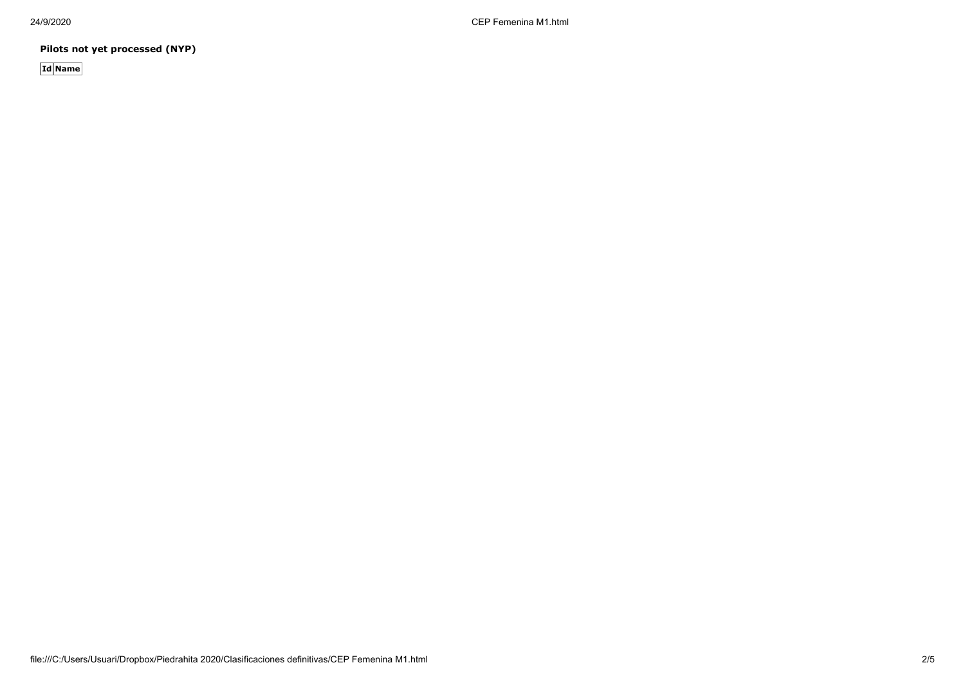24/9/2020 CEP Femenina M1.html

**Pilots not yet processed (NYP)**

**Id Name**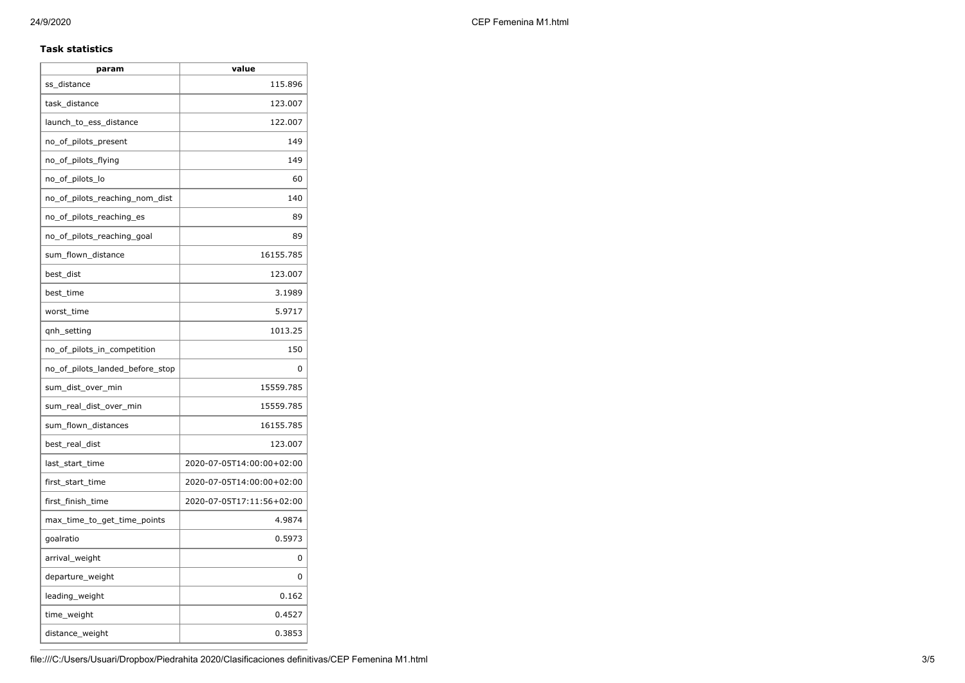### **Task statistics**

| param                           | value                     |  |  |
|---------------------------------|---------------------------|--|--|
| ss_distance                     | 115.896                   |  |  |
| task_distance                   | 123.007                   |  |  |
| launch_to_ess_distance          | 122.007                   |  |  |
| no_of_pilots_present            | 149                       |  |  |
| no_of_pilots_flying             | 149                       |  |  |
| no_of_pilots_lo                 | 60                        |  |  |
| no_of_pilots_reaching_nom_dist  | 140                       |  |  |
| no_of_pilots_reaching_es        | 89                        |  |  |
| no_of_pilots_reaching_goal      | 89                        |  |  |
| sum_flown_distance              | 16155.785                 |  |  |
| best dist                       | 123.007                   |  |  |
| best time                       | 3.1989                    |  |  |
| worst_time                      | 5.9717                    |  |  |
| qnh_setting                     | 1013.25                   |  |  |
| no_of_pilots_in_competition     | 150                       |  |  |
| no_of_pilots_landed_before_stop | 0                         |  |  |
| sum_dist_over_min               | 15559.785                 |  |  |
| sum_real_dist_over_min          | 15559.785                 |  |  |
| sum_flown_distances             | 16155.785                 |  |  |
| best_real_dist                  | 123.007                   |  |  |
| last_start_time                 | 2020-07-05T14:00:00+02:00 |  |  |
| first_start_time                | 2020-07-05T14:00:00+02:00 |  |  |
| first_finish_time               | 2020-07-05T17:11:56+02:00 |  |  |
| max_time_to_get_time_points     | 4.9874                    |  |  |
| goalratio                       | 0.5973                    |  |  |
| arrival_weight                  | 0                         |  |  |
| departure_weight                | 0                         |  |  |
| leading_weight                  | 0.162                     |  |  |
| time_weight                     | 0.4527                    |  |  |
| distance_weight                 | 0.3853                    |  |  |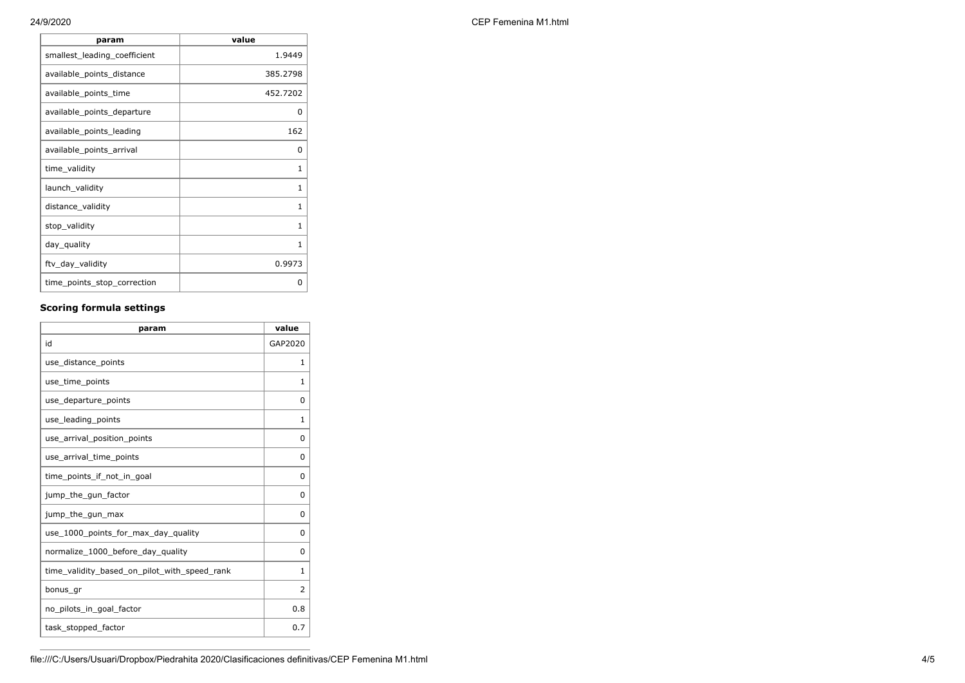| CEP Femenina M1.html |
|----------------------|
|                      |

| value    |
|----------|
| 1.9449   |
| 385.2798 |
| 452.7202 |
| O        |
| 162      |
| O        |
| 1        |
| 1        |
| 1        |
| 1        |
| 1        |
| 0.9973   |
| ი        |
|          |

# **Scoring formula settings**

| param                                        | value        |
|----------------------------------------------|--------------|
| id                                           | GAP2020      |
| use_distance_points                          | $\mathbf{1}$ |
| use_time_points                              | 1            |
| use_departure_points                         | $\Omega$     |
| use_leading_points                           | $\mathbf{1}$ |
| use_arrival_position_points                  | 0            |
| use_arrival_time_points                      | 0            |
| time points if not in goal                   | 0            |
| jump_the_gun_factor                          | 0            |
| jump_the_gun_max                             | 0            |
| use_1000_points_for_max_day_quality          | 0            |
| normalize_1000_before_day_quality            | $\Omega$     |
| time_validity_based_on_pilot_with_speed_rank | $\mathbf{1}$ |
| bonus gr                                     | 2            |
| no_pilots_in_goal_factor                     | 0.8          |
| task_stopped_factor                          | 0.7          |